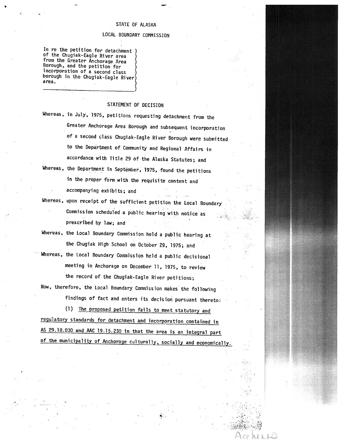## STATE OF ALASKA

## LOCAL BOUNDARY COMMISSION

In re the petition for detachment of the Chugiak-Eagle River area )<br>from the Greater Anchorage Area )<br>Borough, and the petition for ) incorporation of <sup>a</sup> second class borough in the Chugiak-Eagle River) area. (1999). In the second contract of  $\mathcal{E}$ 

## STATEMENT OF DECISION

- Whereas, in July, 1975, petitions requesting detachment from the Greater Anchorage Area Borough and subsequent incorporation of <sup>a</sup> second class Chugiak-Eagle River Borough were submitted to the Department of Community and Regional Affairs in accordance with Title <sup>29</sup> of the Alaska Statutes; and
- Whereas, the Department in September, 1975, found the petitions in the proper form with the requisite content and accompanying exhibits; and
- Whereas, upon receipt of the sufficient petition the Local Boundary Commission scheduled a public hearing with notice as prescribed by law; and

v<br>Veri – Volt – Lenn

V.

- Whereas, the Local Boundary Commission held <sup>a</sup> public hearing at the Chugiak High School on October 29, 1975; and
- Whereas, the Local Boundary Commission held a public decisional meeting in Anchorage on December 11, 1975, to review the record of the Chugiak—Eagle River petitions;
- Now, therefore, the Local Boundary Commission makes the following findings of fact and enters its decision pursuant thereto:

(1) The proposed petition fails to meet statutory and regulatory standards for detachment and incorporation contained in AS 29.18.030 and MC 19.15.230 in that the area is an integral part of the municipality of Anchorage culturally, socially and economically.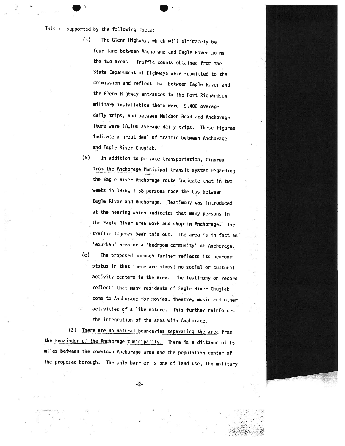This is supported by the following facts:

(a) The Glenn Highway, which will ultimately be four-lane between Anchorage and Eagle River joins the two areas. Traffic counts obtained from the State Department of Highways were submitted to the Commission and reflect that between Eagle River and the Glenn Highway entrances to the Fort Richardson military installation there were 19,400 average daily trips, and between Muldoon Road and Anchorage there were 18,100 average daily trips. These figures indicate <sup>a</sup> great deal of traffic between Anchorage and Eagle River-Chugiak.

(b) In addition to private transportation, figures from the Anchorage Municipal transit system regarding the Eagle River-Anchorage route indicate that in two weeks in 1975, <sup>1158</sup> persons rode the bus between Eagle River and Anchorage. Testimony was introduced at the hearing which indicates that many persons in the Eagle River area work and shop in Anchorage: The traffic figures bear this out. The area is in fact an 'exurban' area or <sup>a</sup> 'bedroom community' of Anchorage.

(c) The proposed borough further reflects its bedroom status in that there are almost no social or cultural activity centers in the area. The testimony on record reflects that many residents of Eagle River—Chugiak come to Anchorage for movies, theatre, music and other activities of <sup>a</sup> like nature. This further reinforces the integration of the area with Anchorage.

(2) There are no natural boundaries separating the area from the remainder of the Anchorage municipality. There is a distance of 15 miles between the downtown Anchorage area and the population center of the proposed borough. The only barrier is one of land use, the military

—2—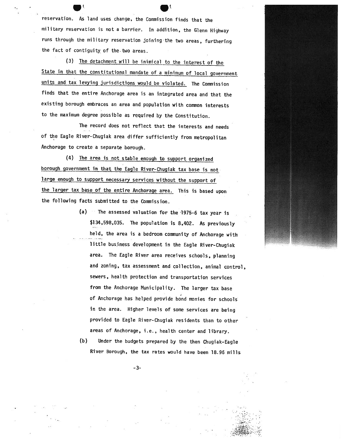reservation. As land uses change, the Commission finds that the military reservation is not <sup>a</sup> barrier. In addition, the Glenn Highway runs through the military reservation joining-the two areas, furthering the fact of contiguity of the two areas.

(3) The detachment will be inimical to the interest of the State in that the constitutional mandate of a minimum of local government units and tax levying jurisdictions would be violated. The Commission finds that the entire Anchorage area is an integrated area and that the existing borough embraces an area and population with common interests to the maximum degree possible as required by the Constitution.

The record does not reflect that the interests and needs of the Eagle River-Chugiak area differ sufficiently from metropolitan Anchorage to create a separate borough.

(4) The area is not stable enoug<sup>h</sup> to support organized borough government in that the Eagle River—Chugiak tax base is not large enoug<sup>h</sup> to support necessary services without the support of the larger tax base of the entire Anchorage area. This is based upon the following facts submitted to the Commission.

> $(a)$  The assessed valuation for the 1975-6 tax year is \$134,598,035. The population is 8,402. As previously held, the area is <sup>a</sup> bedroom community of Anchorage with little business development in the Eagle River—Chugiak area. The Eagle River area receives schools, <sup>p</sup>lanning and zoning, tax assessment and collection, animal control, sewers, health protection and transportation services from the Anchorage Municipality. The larger tax base of Anchorage has helped provide bond monies for schools in the area. Higher levels of some services are being provided to Eagle River—Chugiak residents than to other areas of Anchorage, i.e., health center and library.

(b) Under the budgets prepared by the then Chugiak—Eagle River Borough, the tax rates would have been 18.96 mills

—3—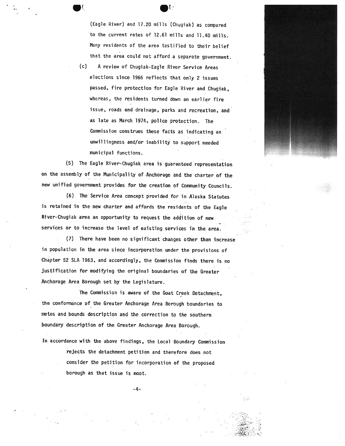(Eagle River) and 17.20 mills (Chugiak) as compared to the current rates of 12.61 mills and 11.40 mills. Many residents of the area testified to their belief that the area could not afford <sup>a</sup> separate government.

(c) <sup>A</sup> review of Chugiak-Eagle River Service Areas elections since 1966 reflects that only 2 issues passed, fire protection for Eagle River and Chugiak, whereas, the residents turned down an earlier fire issue, roads and drainage, parks and recreation, and as late as March 1974, police protection. The Commission construes these facts as indicating an unwillingness and/or inability to support needed municipal functions.

(5) The Eagle River-Chugiak area is guaranteed representation on the assembly of the Municipality of Anchorage and the charter of the new unified government provides for the creation of Community Councils.

(6) The Service Area concept provided for in Alaska Statutes is retained in the new charter and affords the residents of the Eagle River—Chugiak area an opportunity to request the addition of new services or to increase the level of existing services in the area.

(7) There have been no significant changes other than increase in population in the area since incorporation under the provisions of Chapter <sup>52</sup> SLA 1963, and accordingly, the Commission finds there is no justification for modifying the original boundaries of the Greater Anchorage Area Borough set by the Legislature.

The Commission is aware of the Goat Creek Detachment, the conformance of the Greater Anchorage Area Borough boundaries to metes and bounds description and the correction to the southern boundary description of the Greater Anchorage Area Borough.

In accordance with the above findings, the Local Boundary Commission rejects the detachment petition and therefore does not consider the petition for incorporation of the proposed borough as that issue is moot.



-4-